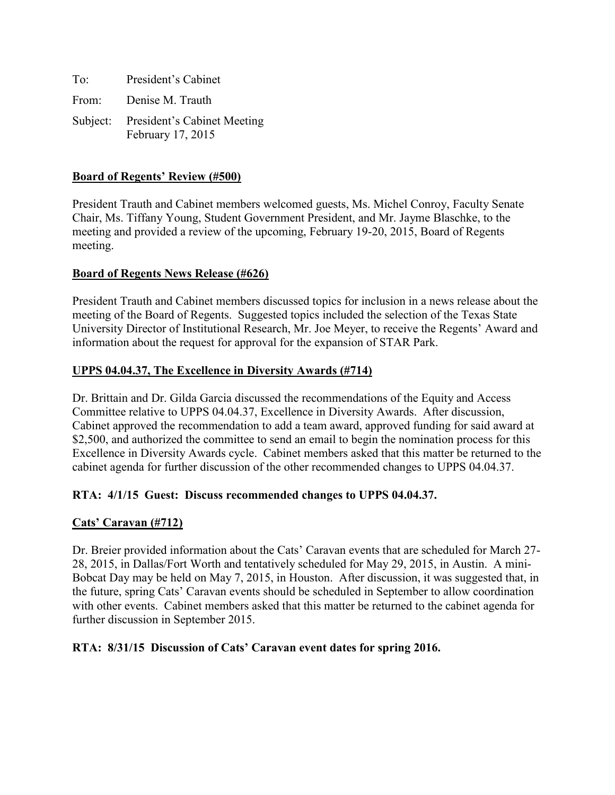| To:   | President's Cabinet                                       |
|-------|-----------------------------------------------------------|
| From: | Denise M. Trauth                                          |
|       | Subject: President's Cabinet Meeting<br>February 17, 2015 |

### **Board of Regents' Review (#500)**

President Trauth and Cabinet members welcomed guests, Ms. Michel Conroy, Faculty Senate Chair, Ms. Tiffany Young, Student Government President, and Mr. Jayme Blaschke, to the meeting and provided a review of the upcoming, February 19-20, 2015, Board of Regents meeting.

### **Board of Regents News Release (#626)**

President Trauth and Cabinet members discussed topics for inclusion in a news release about the meeting of the Board of Regents. Suggested topics included the selection of the Texas State University Director of Institutional Research, Mr. Joe Meyer, to receive the Regents' Award and information about the request for approval for the expansion of STAR Park.

### **UPPS 04.04.37, The Excellence in Diversity Awards (#714)**

Dr. Brittain and Dr. Gilda Garcia discussed the recommendations of the Equity and Access Committee relative to UPPS 04.04.37, Excellence in Diversity Awards. After discussion, Cabinet approved the recommendation to add a team award, approved funding for said award at \$2,500, and authorized the committee to send an email to begin the nomination process for this Excellence in Diversity Awards cycle. Cabinet members asked that this matter be returned to the cabinet agenda for further discussion of the other recommended changes to UPPS 04.04.37.

#### **RTA: 4/1/15 Guest: Discuss recommended changes to UPPS 04.04.37.**

#### **Cats' Caravan (#712)**

Dr. Breier provided information about the Cats' Caravan events that are scheduled for March 27- 28, 2015, in Dallas/Fort Worth and tentatively scheduled for May 29, 2015, in Austin. A mini-Bobcat Day may be held on May 7, 2015, in Houston. After discussion, it was suggested that, in the future, spring Cats' Caravan events should be scheduled in September to allow coordination with other events. Cabinet members asked that this matter be returned to the cabinet agenda for further discussion in September 2015.

#### **RTA: 8/31/15 Discussion of Cats' Caravan event dates for spring 2016.**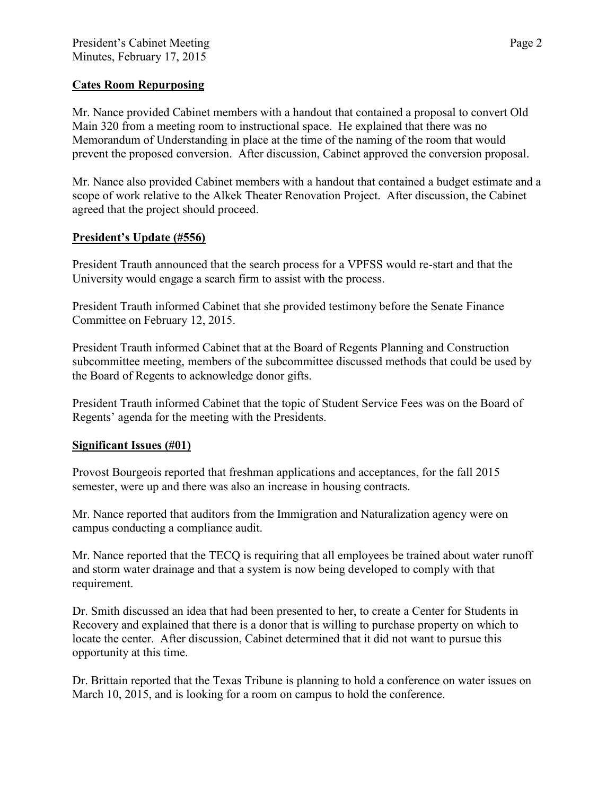### **Cates Room Repurposing**

Mr. Nance provided Cabinet members with a handout that contained a proposal to convert Old Main 320 from a meeting room to instructional space. He explained that there was no Memorandum of Understanding in place at the time of the naming of the room that would prevent the proposed conversion. After discussion, Cabinet approved the conversion proposal.

Mr. Nance also provided Cabinet members with a handout that contained a budget estimate and a scope of work relative to the Alkek Theater Renovation Project. After discussion, the Cabinet agreed that the project should proceed.

### **President's Update (#556)**

President Trauth announced that the search process for a VPFSS would re-start and that the University would engage a search firm to assist with the process.

President Trauth informed Cabinet that she provided testimony before the Senate Finance Committee on February 12, 2015.

President Trauth informed Cabinet that at the Board of Regents Planning and Construction subcommittee meeting, members of the subcommittee discussed methods that could be used by the Board of Regents to acknowledge donor gifts.

President Trauth informed Cabinet that the topic of Student Service Fees was on the Board of Regents' agenda for the meeting with the Presidents.

#### **Significant Issues (#01)**

Provost Bourgeois reported that freshman applications and acceptances, for the fall 2015 semester, were up and there was also an increase in housing contracts.

Mr. Nance reported that auditors from the Immigration and Naturalization agency were on campus conducting a compliance audit.

Mr. Nance reported that the TECQ is requiring that all employees be trained about water runoff and storm water drainage and that a system is now being developed to comply with that requirement.

Dr. Smith discussed an idea that had been presented to her, to create a Center for Students in Recovery and explained that there is a donor that is willing to purchase property on which to locate the center. After discussion, Cabinet determined that it did not want to pursue this opportunity at this time.

Dr. Brittain reported that the Texas Tribune is planning to hold a conference on water issues on March 10, 2015, and is looking for a room on campus to hold the conference.